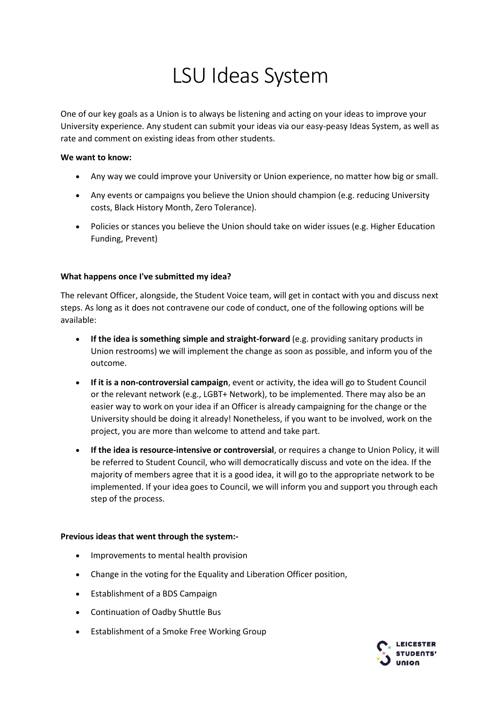## LSU Ideas System

One of our key goals as a Union is to always be listening and acting on your ideas to improve your University experience. Any student can submit your ideas via our easy-peasy Ideas System, as well as rate and comment on existing ideas from other students.

## **We want to know:**

- Any way we could improve your University or Union experience, no matter how big or small.
- Any events or campaigns you believe the Union should champion (e.g. reducing University costs, Black History Month, Zero Tolerance).
- Policies or stances you believe the Union should take on wider issues (e.g. Higher Education Funding, Prevent)

## **What happens once I've submitted my idea?**

The relevant Officer, alongside, the Student Voice team, will get in contact with you and discuss next steps. As long as it does not contravene our code of conduct, one of the following options will be available:

- **If the idea is something simple and straight-forward** (e.g. providing sanitary products in Union restrooms) we will implement the change as soon as possible, and inform you of the outcome.
- **If it is a non-controversial campaign**, event or activity, the idea will go to Student Council or the relevant network (e.g., LGBT+ Network), to be implemented. There may also be an easier way to work on your idea if an Officer is already campaigning for the change or the University should be doing it already! Nonetheless, if you want to be involved, work on the project, you are more than welcome to attend and take part.
- **If the idea is resource-intensive or controversial**, or requires a change to Union Policy, it will be referred to Student Council, who will democratically discuss and vote on the idea. If the majority of members agree that it is a good idea, it will go to the appropriate network to be implemented. If your idea goes to Council, we will inform you and support you through each step of the process.

## **Previous ideas that went through the system:-**

- Improvements to mental health provision
- Change in the voting for the Equality and Liberation Officer position,
- Establishment of a BDS Campaign
- Continuation of Oadby Shuttle Bus
- Establishment of a Smoke Free Working Group